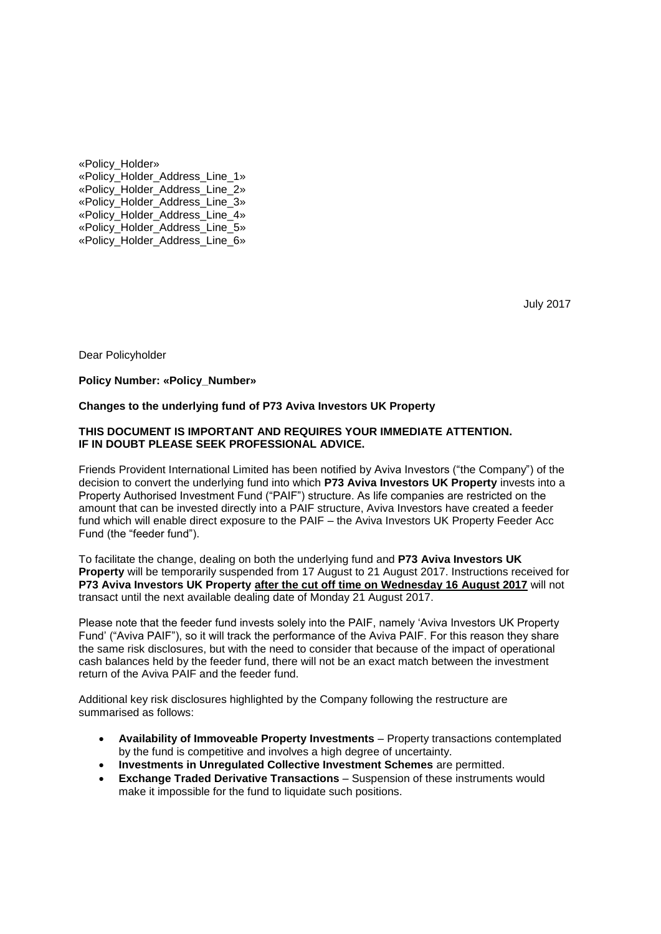«Policy\_Holder» «Policy\_Holder\_Address\_Line\_1» «Policy\_Holder\_Address\_Line\_2» «Policy\_Holder\_Address\_Line\_3» «Policy\_Holder\_Address\_Line\_4» «Policy\_Holder\_Address\_Line\_5» «Policy\_Holder\_Address\_Line\_6»

July 2017

Dear Policyholder

### **Policy Number: «Policy\_Number»**

### **Changes to the underlying fund of P73 Aviva Investors UK Property**

#### **THIS DOCUMENT IS IMPORTANT AND REQUIRES YOUR IMMEDIATE ATTENTION. IF IN DOUBT PLEASE SEEK PROFESSIONAL ADVICE.**

Friends Provident International Limited has been notified by Aviva Investors ("the Company") of the decision to convert the underlying fund into which **P73 Aviva Investors UK Property** invests into a Property Authorised Investment Fund ("PAIF") structure. As life companies are restricted on the amount that can be invested directly into a PAIF structure, Aviva Investors have created a feeder fund which will enable direct exposure to the PAIF – the Aviva Investors UK Property Feeder Acc Fund (the "feeder fund").

To facilitate the change, dealing on both the underlying fund and **P73 Aviva Investors UK Property** will be temporarily suspended from 17 August to 21 August 2017. Instructions received for **P73 Aviva Investors UK Property after the cut off time on Wednesday 16 August 2017** will not transact until the next available dealing date of Monday 21 August 2017.

Please note that the feeder fund invests solely into the PAIF, namely 'Aviva Investors UK Property Fund' ("Aviva PAIF"), so it will track the performance of the Aviva PAIF. For this reason they share the same risk disclosures, but with the need to consider that because of the impact of operational cash balances held by the feeder fund, there will not be an exact match between the investment return of the Aviva PAIF and the feeder fund.

Additional key risk disclosures highlighted by the Company following the restructure are summarised as follows:

- **Availability of Immoveable Property Investments** Property transactions contemplated by the fund is competitive and involves a high degree of uncertainty.
- **Investments in Unregulated Collective Investment Schemes** are permitted.
- **Exchange Traded Derivative Transactions** Suspension of these instruments would make it impossible for the fund to liquidate such positions.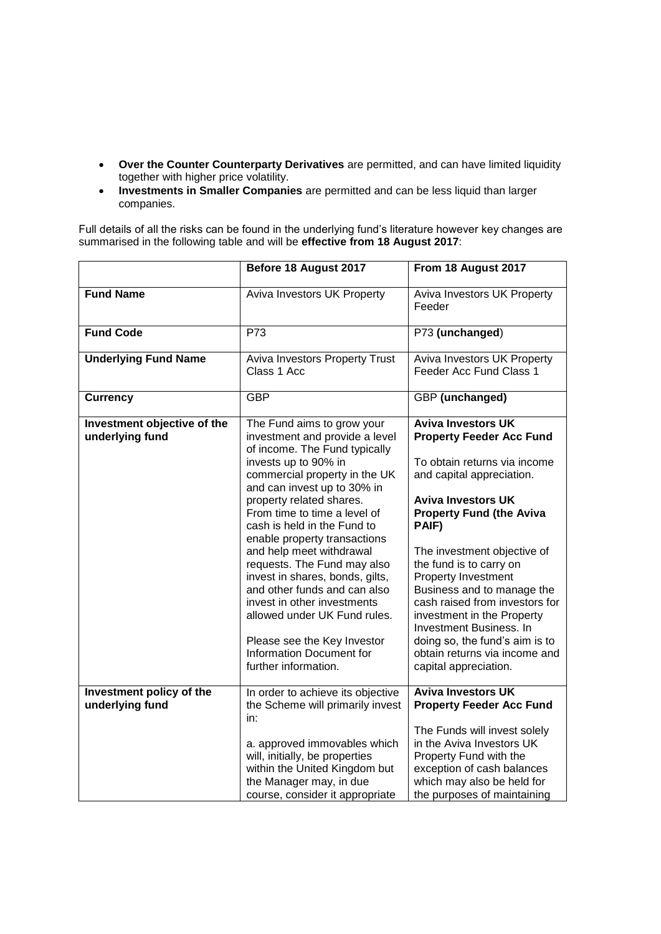- **Over the Counter Counterparty Derivatives** are permitted, and can have limited liquidity together with higher price volatility.
- **Investments in Smaller Companies** are permitted and can be less liquid than larger companies.

Full details of all the risks can be found in the underlying fund's literature however key changes are summarised in the following table and will be **effective from 18 August 2017**:

|                                                | Before 18 August 2017                                                                                                                                                                                                                                                                                                                                                                                                                                                                                                                                                                            | From 18 August 2017                                                                                                                                                                                                                                                                                                                                                                                                                                                                                      |
|------------------------------------------------|--------------------------------------------------------------------------------------------------------------------------------------------------------------------------------------------------------------------------------------------------------------------------------------------------------------------------------------------------------------------------------------------------------------------------------------------------------------------------------------------------------------------------------------------------------------------------------------------------|----------------------------------------------------------------------------------------------------------------------------------------------------------------------------------------------------------------------------------------------------------------------------------------------------------------------------------------------------------------------------------------------------------------------------------------------------------------------------------------------------------|
| <b>Fund Name</b>                               | Aviva Investors UK Property                                                                                                                                                                                                                                                                                                                                                                                                                                                                                                                                                                      | Aviva Investors UK Property<br>Feeder                                                                                                                                                                                                                                                                                                                                                                                                                                                                    |
| <b>Fund Code</b>                               | P73                                                                                                                                                                                                                                                                                                                                                                                                                                                                                                                                                                                              | P73 (unchanged)                                                                                                                                                                                                                                                                                                                                                                                                                                                                                          |
| <b>Underlying Fund Name</b>                    | Aviva Investors Property Trust<br>Class 1 Acc                                                                                                                                                                                                                                                                                                                                                                                                                                                                                                                                                    | Aviva Investors UK Property<br>Feeder Acc Fund Class 1                                                                                                                                                                                                                                                                                                                                                                                                                                                   |
| <b>Currency</b>                                | <b>GBP</b>                                                                                                                                                                                                                                                                                                                                                                                                                                                                                                                                                                                       | GBP (unchanged)                                                                                                                                                                                                                                                                                                                                                                                                                                                                                          |
| Investment objective of the<br>underlying fund | The Fund aims to grow your<br>investment and provide a level<br>of income. The Fund typically<br>invests up to 90% in<br>commercial property in the UK<br>and can invest up to 30% in<br>property related shares.<br>From time to time a level of<br>cash is held in the Fund to<br>enable property transactions<br>and help meet withdrawal<br>requests. The Fund may also<br>invest in shares, bonds, gilts,<br>and other funds and can also<br>invest in other investments<br>allowed under UK Fund rules.<br>Please see the Key Investor<br>Information Document for<br>further information. | <b>Aviva Investors UK</b><br><b>Property Feeder Acc Fund</b><br>To obtain returns via income<br>and capital appreciation.<br><b>Aviva Investors UK</b><br><b>Property Fund (the Aviva</b><br>PAIF)<br>The investment objective of<br>the fund is to carry on<br>Property Investment<br>Business and to manage the<br>cash raised from investors for<br>investment in the Property<br>Investment Business. In<br>doing so, the fund's aim is to<br>obtain returns via income and<br>capital appreciation. |
| Investment policy of the<br>underlying fund    | In order to achieve its objective<br>the Scheme will primarily invest<br>in:<br>a. approved immovables which<br>will, initially, be properties<br>within the United Kingdom but<br>the Manager may, in due<br>course, consider it appropriate                                                                                                                                                                                                                                                                                                                                                    | <b>Aviva Investors UK</b><br><b>Property Feeder Acc Fund</b><br>The Funds will invest solely<br>in the Aviva Investors UK<br>Property Fund with the<br>exception of cash balances<br>which may also be held for<br>the purposes of maintaining                                                                                                                                                                                                                                                           |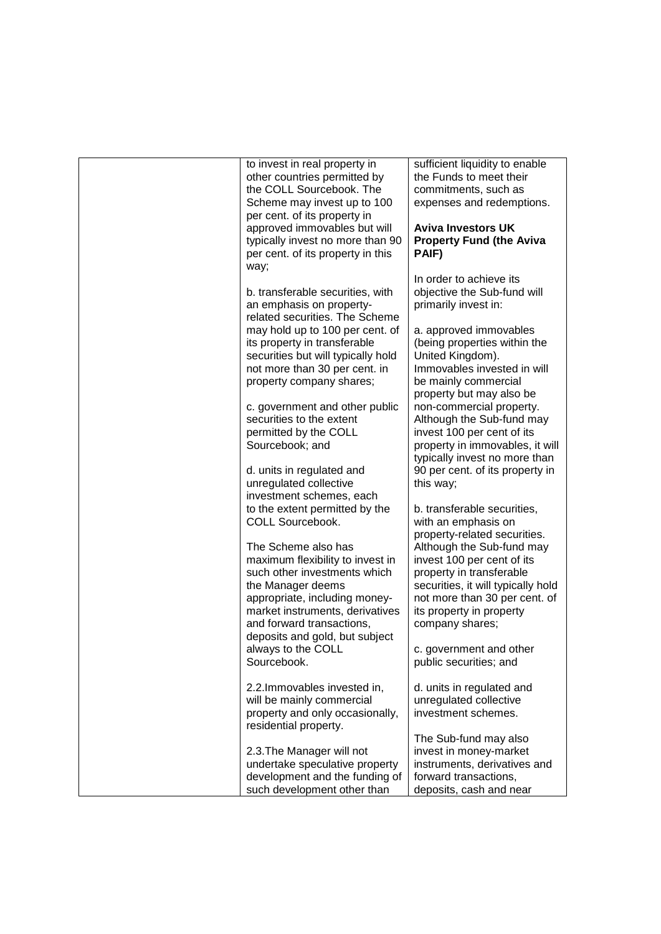| to invest in real property in<br>other countries permitted by<br>the COLL Sourcebook. The<br>Scheme may invest up to 100<br>per cent. of its property in<br>approved immovables but will<br>typically invest no more than 90<br>per cent. of its property in this                                                                                                      | sufficient liquidity to enable<br>the Funds to meet their<br>commitments, such as<br>expenses and redemptions.<br><b>Aviva Investors UK</b><br><b>Property Fund (the Aviva</b><br>PAIF)                                                                                                                                                              |
|------------------------------------------------------------------------------------------------------------------------------------------------------------------------------------------------------------------------------------------------------------------------------------------------------------------------------------------------------------------------|------------------------------------------------------------------------------------------------------------------------------------------------------------------------------------------------------------------------------------------------------------------------------------------------------------------------------------------------------|
| way;<br>b. transferable securities, with<br>an emphasis on property-<br>related securities. The Scheme<br>may hold up to 100 per cent. of<br>its property in transferable<br>securities but will typically hold<br>not more than 30 per cent. in<br>property company shares;                                                                                           | In order to achieve its<br>objective the Sub-fund will<br>primarily invest in:<br>a. approved immovables<br>(being properties within the<br>United Kingdom).<br>Immovables invested in will<br>be mainly commercial<br>property but may also be                                                                                                      |
| c. government and other public<br>securities to the extent<br>permitted by the COLL<br>Sourcebook; and<br>d. units in regulated and<br>unregulated collective                                                                                                                                                                                                          | non-commercial property.<br>Although the Sub-fund may<br>invest 100 per cent of its<br>property in immovables, it will<br>typically invest no more than<br>90 per cent. of its property in<br>this way;                                                                                                                                              |
| investment schemes, each<br>to the extent permitted by the<br>COLL Sourcebook.<br>The Scheme also has<br>maximum flexibility to invest in<br>such other investments which<br>the Manager deems<br>appropriate, including money-<br>market instruments, derivatives<br>and forward transactions,<br>deposits and gold, but subject<br>always to the COLL<br>Sourcebook. | b. transferable securities,<br>with an emphasis on<br>property-related securities.<br>Although the Sub-fund may<br>invest 100 per cent of its<br>property in transferable<br>securities, it will typically hold<br>not more than 30 per cent. of<br>its property in property<br>company shares;<br>c. government and other<br>public securities; and |
| 2.2. Immovables invested in,<br>will be mainly commercial<br>property and only occasionally,<br>residential property.<br>2.3. The Manager will not<br>undertake speculative property<br>development and the funding of                                                                                                                                                 | d. units in regulated and<br>unregulated collective<br>investment schemes.<br>The Sub-fund may also<br>invest in money-market<br>instruments, derivatives and<br>forward transactions,                                                                                                                                                               |
| such development other than                                                                                                                                                                                                                                                                                                                                            | deposits, cash and near                                                                                                                                                                                                                                                                                                                              |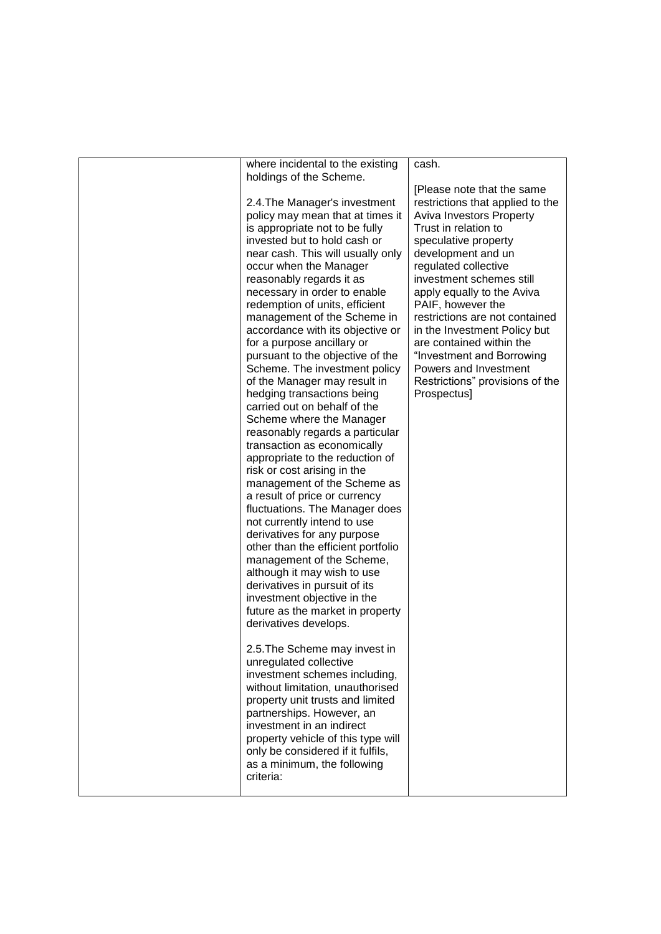| where incidental to the existing<br>holdings of the Scheme.<br>2.4. The Manager's investment<br>policy may mean that at times it<br>is appropriate not to be fully<br>invested but to hold cash or<br>near cash. This will usually only<br>occur when the Manager<br>reasonably regards it as<br>necessary in order to enable<br>redemption of units, efficient<br>management of the Scheme in<br>accordance with its objective or<br>for a purpose ancillary or<br>pursuant to the objective of the<br>Scheme. The investment policy<br>of the Manager may result in<br>hedging transactions being<br>carried out on behalf of the<br>Scheme where the Manager<br>reasonably regards a particular<br>transaction as economically<br>appropriate to the reduction of<br>risk or cost arising in the<br>management of the Scheme as<br>a result of price or currency<br>fluctuations. The Manager does<br>not currently intend to use<br>derivatives for any purpose<br>other than the efficient portfolio<br>management of the Scheme,<br>although it may wish to use<br>derivatives in pursuit of its<br>investment objective in the<br>future as the market in property<br>derivatives develops.<br>2.5. The Scheme may invest in<br>unregulated collective<br>investment schemes including,<br>without limitation, unauthorised<br>property unit trusts and limited<br>partnerships. However, an<br>investment in an indirect<br>property vehicle of this type will | cash.<br>[Please note that the same<br>restrictions that applied to the<br><b>Aviva Investors Property</b><br>Trust in relation to<br>speculative property<br>development and un<br>regulated collective<br>investment schemes still<br>apply equally to the Aviva<br>PAIF, however the<br>restrictions are not contained<br>in the Investment Policy but<br>are contained within the<br>"Investment and Borrowing<br>Powers and Investment<br>Restrictions" provisions of the<br>Prospectus] |
|------------------------------------------------------------------------------------------------------------------------------------------------------------------------------------------------------------------------------------------------------------------------------------------------------------------------------------------------------------------------------------------------------------------------------------------------------------------------------------------------------------------------------------------------------------------------------------------------------------------------------------------------------------------------------------------------------------------------------------------------------------------------------------------------------------------------------------------------------------------------------------------------------------------------------------------------------------------------------------------------------------------------------------------------------------------------------------------------------------------------------------------------------------------------------------------------------------------------------------------------------------------------------------------------------------------------------------------------------------------------------------------------------------------------------------------------------------------------|-----------------------------------------------------------------------------------------------------------------------------------------------------------------------------------------------------------------------------------------------------------------------------------------------------------------------------------------------------------------------------------------------------------------------------------------------------------------------------------------------|
| only be considered if it fulfils,<br>as a minimum, the following<br>criteria:                                                                                                                                                                                                                                                                                                                                                                                                                                                                                                                                                                                                                                                                                                                                                                                                                                                                                                                                                                                                                                                                                                                                                                                                                                                                                                                                                                                          |                                                                                                                                                                                                                                                                                                                                                                                                                                                                                               |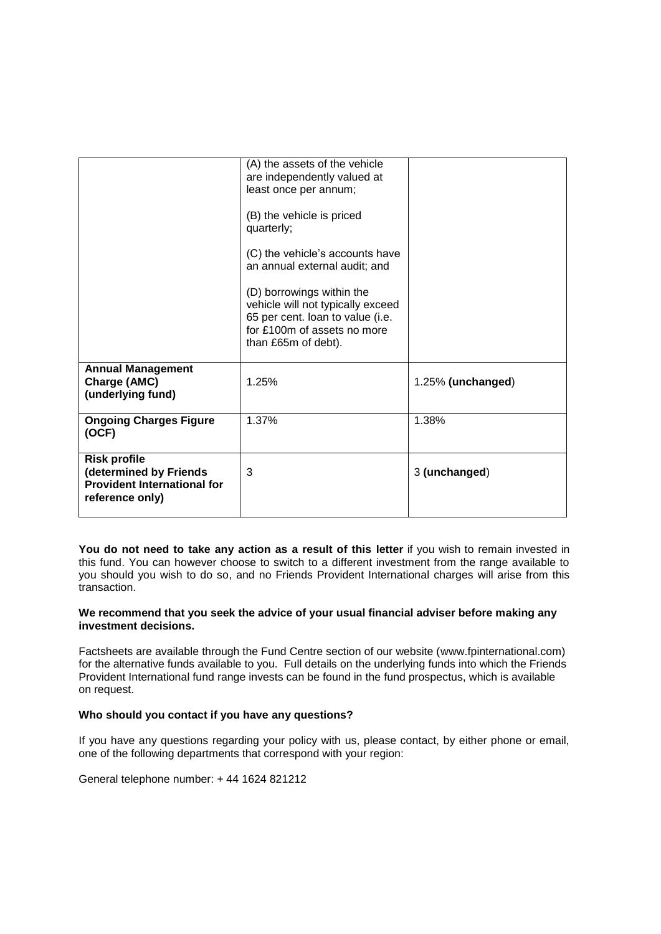|                                                                                                        | (A) the assets of the vehicle<br>are independently valued at<br>least once per annum;<br>(B) the vehicle is priced<br>quarterly;<br>(C) the vehicle's accounts have<br>an annual external audit; and<br>(D) borrowings within the<br>vehicle will not typically exceed<br>65 per cent. Ioan to value (i.e.<br>for £100m of assets no more<br>than £65m of debt). |                   |
|--------------------------------------------------------------------------------------------------------|------------------------------------------------------------------------------------------------------------------------------------------------------------------------------------------------------------------------------------------------------------------------------------------------------------------------------------------------------------------|-------------------|
| <b>Annual Management</b><br>Charge (AMC)<br>(underlying fund)                                          | 1.25%                                                                                                                                                                                                                                                                                                                                                            | 1.25% (unchanged) |
| <b>Ongoing Charges Figure</b><br>(OCF)                                                                 | 1.37%                                                                                                                                                                                                                                                                                                                                                            | 1.38%             |
| <b>Risk profile</b><br>(determined by Friends<br><b>Provident International for</b><br>reference only) | 3                                                                                                                                                                                                                                                                                                                                                                | 3 (unchanged)     |

**You do not need to take any action as a result of this letter** if you wish to remain invested in this fund. You can however choose to switch to a different investment from the range available to you should you wish to do so, and no Friends Provident International charges will arise from this transaction.

# **We recommend that you seek the advice of your usual financial adviser before making any investment decisions.**

Factsheets are available through the Fund Centre section of our website (www.fpinternational.com) for the alternative funds available to you. Full details on the underlying funds into which the Friends Provident International fund range invests can be found in the fund prospectus, which is available on request.

# **Who should you contact if you have any questions?**

If you have any questions regarding your policy with us, please contact, by either phone or email, one of the following departments that correspond with your region:

General telephone number: + 44 1624 821212